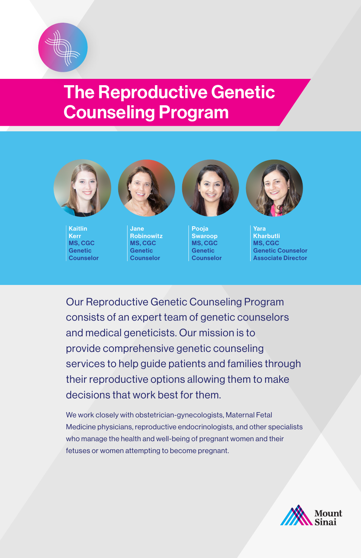

# The Reproductive Genetic Counseling Program



Kaitlin Kerr MS, CGC Genetic **Counselor** 



Jane Robinowitz MS, CGC Genetic **Counselor** 



Pooja Swaroop MS, CGC Genetic **Counselor** 



Yara **Kharbutli** MS, CGC Genetic Counselor Associate Director

Our Reproductive Genetic Counseling Program consists of an expert team of genetic counselors and medical geneticists. Our mission is to provide comprehensive genetic counseling services to help guide patients and families through their reproductive options allowing them to make decisions that work best for them.

We work closely with obstetrician-gynecologists, Maternal Fetal Medicine physicians, reproductive endocrinologists, and other specialists who manage the health and well-being of pregnant women and their fetuses or women attempting to become pregnant.